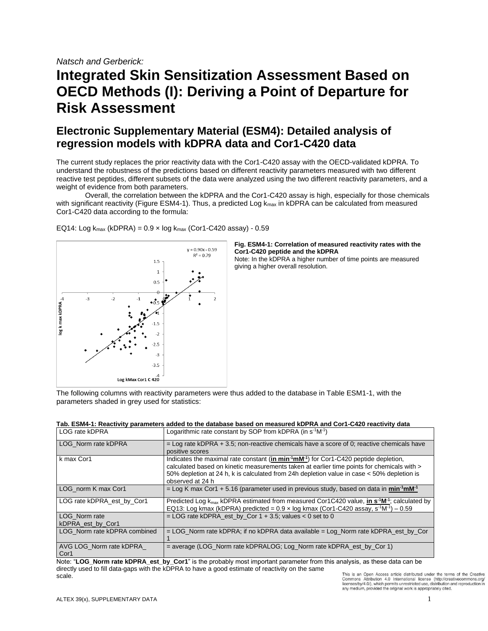# **Integrated Skin Sensitization Assessment Based on OECD Methods (I): Deriving a Point of Departure for Risk Assessment**

# **Electronic Supplementary Material (ESM4): Detailed analysis of regression models with kDPRA data and Cor1-C420 data**

The current study replaces the prior reactivity data with the Cor1-C420 assay with the OECD-validated kDPRA. To understand the robustness of the predictions based on different reactivity parameters measured with two different reactive test peptides, different subsets of the data were analyzed using the two different reactivity parameters, and a weight of evidence from both parameters.

Overall, the correlation between the kDPRA and the Cor1-C420 assay is high, especially for those chemicals with significant reactivity (Figure ESM4-1). Thus, a predicted Log k<sub>max</sub> in kDPRA can be calculated from measured Cor1-C420 data according to the formula:



EQ14: Log  $k_{max}$  (kDPRA) =  $0.9 \times log k_{max}$  (Cor1-C420 assay) -  $0.59$ 

**Fig. ESM4-1: Correlation of measured reactivity rates with the Cor1-C420 peptide and the kDPRA** 

Note: In the kDPRA a higher number of time points are measured giving a higher overall resolution.

The following columns with reactivity parameters were thus added to the database in Table ESM1-1, with the parameters shaded in grey used for statistics:

| LUU IQIG NUI IVA                   | LOGATIONING TALE CONSIGNIUS VON TIONING IN THE STIVITY                                                                                                                                                                                                                                                   |
|------------------------------------|----------------------------------------------------------------------------------------------------------------------------------------------------------------------------------------------------------------------------------------------------------------------------------------------------------|
| LOG Norm rate kDPRA                | $=$ Log rate kDPRA + 3.5; non-reactive chemicals have a score of 0; reactive chemicals have<br>positive scores                                                                                                                                                                                           |
| k max Cor1                         | Indicates the maximal rate constant (in $min-1 m M-1$ ) for Cor1-C420 peptide depletion,<br>calculated based on kinetic measurements taken at earlier time points for chemicals with ><br>50% depletion at 24 h, k is calculated from 24h depletion value in case < 50% depletion is<br>observed at 24 h |
| LOG norm K max Cor1                | $=$ Log K max Cor1 + 5.16 (parameter used in previous study, based on data in min <sup>-1</sup> mM <sup>-1</sup>                                                                                                                                                                                         |
| LOG rate kDPRA_est_by_Cor1         | Predicted Log $k_{max}$ kDPRA estimated from measured Cor1C420 value, in $s-1M-1$ ; calculated by<br>EQ13: Log kmax (kDPRA) predicted = $0.9 \times$ log kmax (Cor1-C420 assay, s <sup>-1</sup> M <sup>-1</sup> ) – 0.59                                                                                 |
| LOG Norm rate<br>kDPRA est by Cor1 | $=$ LOG rate kDPRA est by Cor 1 + 3.5; values < 0 set to 0                                                                                                                                                                                                                                               |
| LOG Norm rate kDPRA combined       | = LOG_Norm rate kDPRA; if no kDPRA data available = Log_Norm rate kDPRA_est_by_Cor                                                                                                                                                                                                                       |
| AVG LOG Norm rate kDPRA<br>Cor1    | $=$ average (LOG Norm rate kDPRALOG; Log Norm rate kDPRA est by Cor 1)                                                                                                                                                                                                                                   |

|                  | Tab. ESM4-1: Reactivity parameters added to the database based on measured kDPRA and Cor1-C420 reactivity data |
|------------------|----------------------------------------------------------------------------------------------------------------|
| l LOG rate kDPRA | Logarithmic rate constant by SOP from kDPRA (in $s^{-1}M^{-1}$ )                                               |

Note: "**LOG\_Norm rate kDPRA\_est\_by\_Cor1**" is the probably most important parameter from this analysis, as these data can be directly used to fill data-gaps with the kDPRA to have a good estimate of reactivity on the same scale.

This is an Open Access article distributed under the terms of the Creative<br>Commons Attribution 4.0 International license (http://creativecommons.org/ licenses/by/4.0/), which permits unrestricted use, distribution and reproduction in any medium, provided the original work is appropriately cited.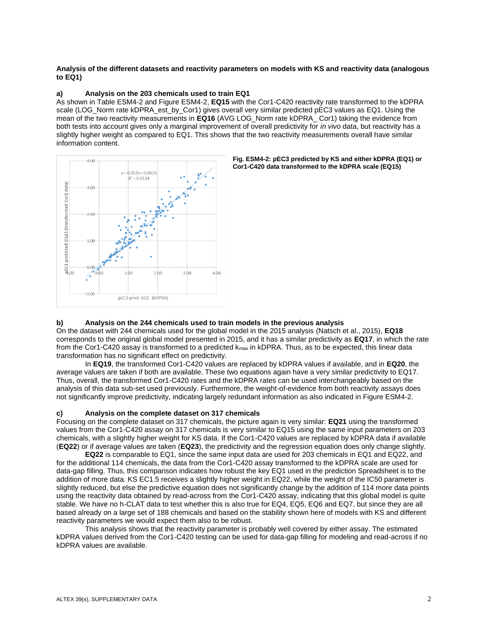### **Analysis of the different datasets and reactivity parameters on models with KS and reactivity data (analogous to EQ1)**

### **a) Analysis on the 203 chemicals used to train EQ1**

As shown in Table ESM4-2 and Figure ESM4-2, **EQ15** with the Cor1-C420 reactivity rate transformed to the kDPRA scale (LOG\_Norm rate kDPRA\_est\_by\_Cor1) gives overall very similar predicted pEC3 values as EQ1. Using the mean of the two reactivity measurements in **EQ16** (AVG LOG\_Norm rate kDPRA\_ Cor1) taking the evidence from both tests into account gives only a marginal improvement of overall predictivity for *in vivo* data, but reactivity has a slightly higher weight as compared to EQ1. This shows that the two reactivity measurements overall have similar information content.





#### **b) Analysis on the 244 chemicals used to train models in the previous analysis**

On the dataset with 244 chemicals used for the global model in the 2015 analysis (Natsch et al., 2015), **EQ18** corresponds to the original global model presented in 2015, and it has a similar predictivity as **EQ17**, in which the rate from the Cor1-C420 assay is transformed to a predicted  $k_{\text{max}}$  in kDPRA. Thus, as to be expected, this linear data transformation has no significant effect on predictivity.

In **EQ19**, the transformed Cor1-C420 values are replaced by kDPRA values if available, and in **EQ20**, the average values are taken if both are available. These two equations again have a very similar predictivity to EQ17. Thus, overall, the transformed Cor1-C420 rates and the kDPRA rates can be used interchangeably based on the analysis of this data sub-set used previously. Furthermore, the weight-of-evidence from both reactivity assays does not significantly improve predictivity, indicating largely redundant information as also indicated in Figure ESM4-2.

#### **c) Analysis on the complete dataset on 317 chemicals**

Focusing on the complete dataset on 317 chemicals, the picture again is very similar: **EQ21** using the transformed values from the Cor1-C420 assay on 317 chemicals is very similar to EQ15 using the same input parameters on 203 chemicals, with a slightly higher weight for KS data. If the Cor1-C420 values are replaced by kDPRA data if available (**EQ22**) or if average values are taken (**EQ23**), the predictivity and the regression equation does only change slightly.

**EQ22** is comparable to EQ1, since the same input data are used for 203 chemicals in EQ1 and EQ22, and for the additional 114 chemicals, the data from the Cor1-C420 assay transformed to the kDPRA scale are used for data-gap filling. Thus, this comparison indicates how robust the key EQ1 used in the prediction Spreadsheet is to the addition of more data. KS EC1.5 receives a slightly higher weight in EQ22, while the weight of the IC50 parameter is slightly reduced, but else the predictive equation does not significantly change by the addition of 114 more data points using the reactivity data obtained by read-across from the Cor1-C420 assay, indicating that this global model is quite stable. We have no h-CLAT data to test whether this is also true for EQ4, EQ5, EQ6 and EQ7, but since they are all based already on a large set of 188 chemicals and based on the stability shown here of models with KS and different reactivity parameters we would expect them also to be robust.

This analysis shows that the reactivity parameter is probably well covered by either assay. The estimated kDPRA values derived from the Cor1-C420 testing can be used for data-gap filling for modeling and read-across if no kDPRA values are available.